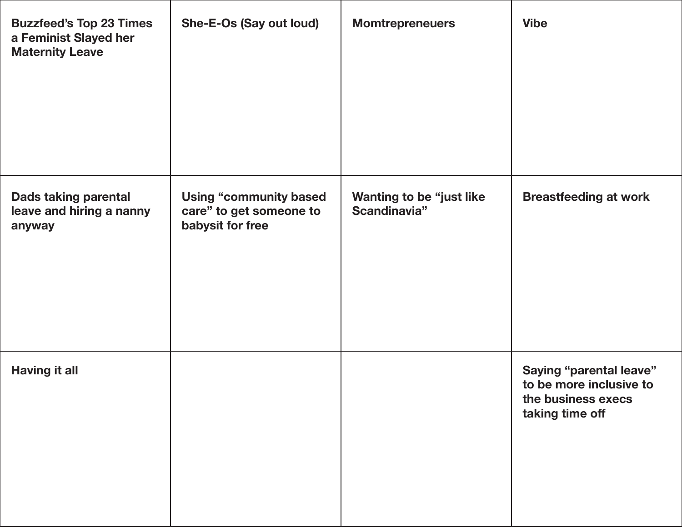| <b>Buzzfeed's Top 23 Times</b><br>a Feminist Slayed her<br><b>Maternity Leave</b> | She-E-Os (Say out loud)                                                      | <b>Momtrepreneuers</b>                   | <b>Vibe</b>                                                                                        |
|-----------------------------------------------------------------------------------|------------------------------------------------------------------------------|------------------------------------------|----------------------------------------------------------------------------------------------------|
| <b>Dads taking parental</b><br>leave and hiring a nanny<br>anyway                 | <b>Using "community based</b><br>care" to get someone to<br>babysit for free | Wanting to be "just like<br>Scandinavia" | <b>Breastfeeding at work</b>                                                                       |
| <b>Having it all</b>                                                              |                                                                              |                                          | <b>Saying "parental leave"</b><br>to be more inclusive to<br>the business execs<br>taking time off |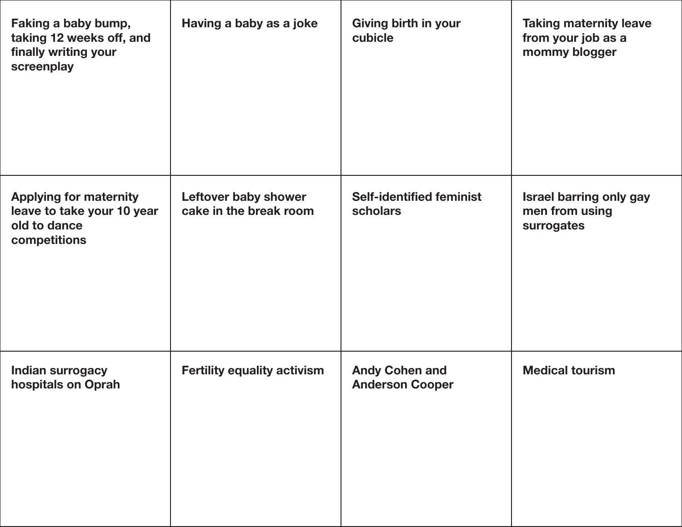| Faking a baby bump,<br>taking 12 weeks off, and<br>finally writing your<br>screenplay       | Having a baby as a joke                        | Giving birth in your<br>cubicle                 | <b>Taking maternity leave</b><br>from your job as a<br>mommy blogger |
|---------------------------------------------------------------------------------------------|------------------------------------------------|-------------------------------------------------|----------------------------------------------------------------------|
| <b>Applying for maternity</b><br>leave to take your 10 year<br>old to dance<br>competitions | Leftover baby shower<br>cake in the break room | <b>Self-identified feminist</b><br>scholars     | Israel barring only gay<br>men from using<br>surrogates              |
| <b>Indian surrogacy</b><br>hospitals on Oprah                                               | <b>Fertility equality activism</b>             | <b>Andy Cohen and</b><br><b>Anderson Cooper</b> | <b>Medical tourism</b>                                               |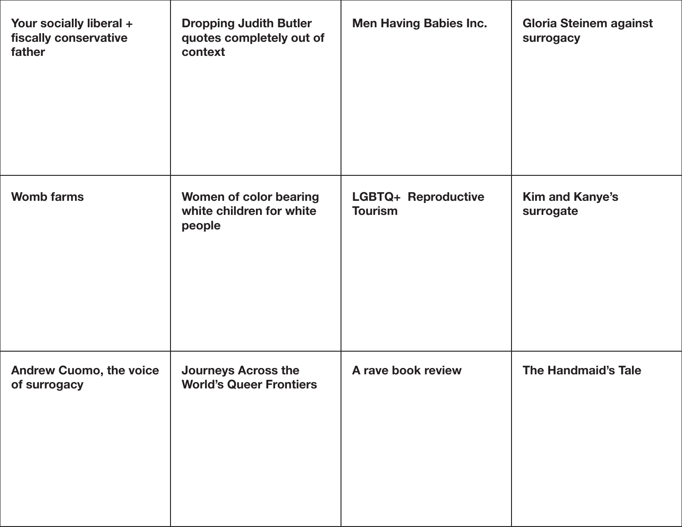| Your socially liberal +<br>fiscally conservative<br>father | <b>Dropping Judith Butler</b><br>quotes completely out of<br>context | <b>Men Having Babies Inc.</b>         | <b>Gloria Steinem against</b><br>surrogacy |
|------------------------------------------------------------|----------------------------------------------------------------------|---------------------------------------|--------------------------------------------|
| <b>Womb farms</b>                                          | Women of color bearing<br>white children for white<br>people         | LGBTQ+ Reproductive<br><b>Tourism</b> | <b>Kim and Kanye's</b><br>surrogate        |
| <b>Andrew Cuomo, the voice</b><br>of surrogacy             | <b>Journeys Across the</b><br><b>World's Queer Frontiers</b>         | A rave book review                    | <b>The Handmaid's Tale</b>                 |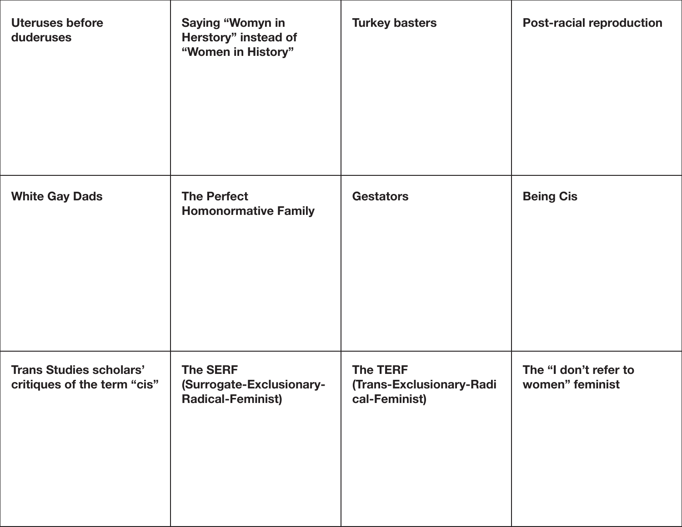| <b>Uteruses before</b><br>duderuses                           | <b>Saying "Womyn in</b><br>Herstory" instead of<br>"Women in History"   | <b>Turkey basters</b>                                        | <b>Post-racial reproduction</b>          |
|---------------------------------------------------------------|-------------------------------------------------------------------------|--------------------------------------------------------------|------------------------------------------|
| <b>White Gay Dads</b>                                         | <b>The Perfect</b><br><b>Homonormative Family</b>                       | <b>Gestators</b>                                             | <b>Being Cis</b>                         |
| <b>Trans Studies scholars'</b><br>critiques of the term "cis" | <b>The SERF</b><br>(Surrogate-Exclusionary-<br><b>Radical-Feminist)</b> | <b>The TERF</b><br>(Trans-Exclusionary-Radi<br>cal-Feminist) | The "I don't refer to<br>women" feminist |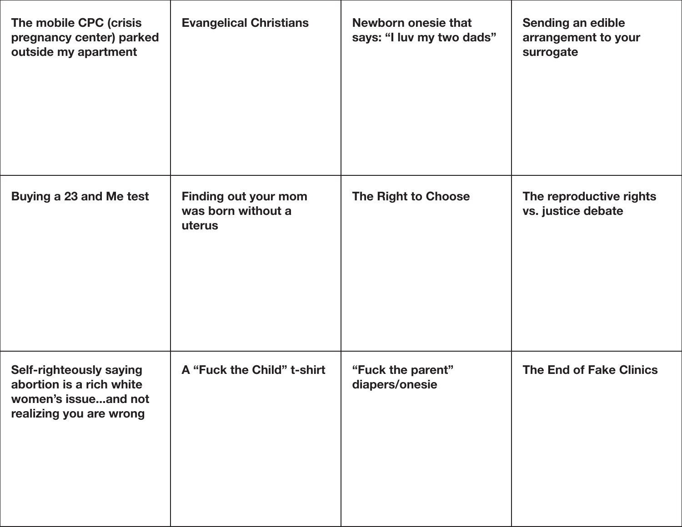| The mobile CPC (crisis<br>pregnancy center) parked<br>outside my apartment                             | <b>Evangelical Christians</b>                               | <b>Newborn onesie that</b><br>says: "I luv my two dads" | Sending an edible<br>arrangement to your<br>surrogate |
|--------------------------------------------------------------------------------------------------------|-------------------------------------------------------------|---------------------------------------------------------|-------------------------------------------------------|
| Buying a 23 and Me test                                                                                | <b>Finding out your mom</b><br>was born without a<br>uterus | The Right to Choose                                     | The reproductive rights<br>vs. justice debate         |
| Self-righteously saying<br>abortion is a rich white<br>women's issueand not<br>realizing you are wrong | A "Fuck the Child" t-shirt                                  | "Fuck the parent"<br>diapers/onesie                     | <b>The End of Fake Clinics</b>                        |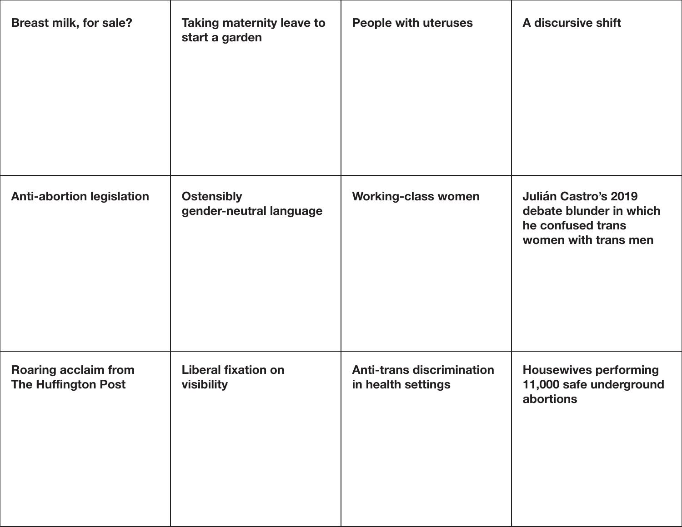| <b>Breast milk, for sale?</b>                             | <b>Taking maternity leave to</b><br>start a garden | <b>People with uteruses</b>                            | A discursive shift                                                                                  |
|-----------------------------------------------------------|----------------------------------------------------|--------------------------------------------------------|-----------------------------------------------------------------------------------------------------|
| <b>Anti-abortion legislation</b>                          | <b>Ostensibly</b><br>gender-neutral language       | <b>Working-class women</b>                             | <b>Julián Castro's 2019</b><br>debate blunder in which<br>he confused trans<br>women with trans men |
| <b>Roaring acclaim from</b><br><b>The Huffington Post</b> | <b>Liberal fixation on</b><br>visibility           | <b>Anti-trans discrimination</b><br>in health settings | <b>Housewives performing</b><br>11,000 safe underground<br>abortions                                |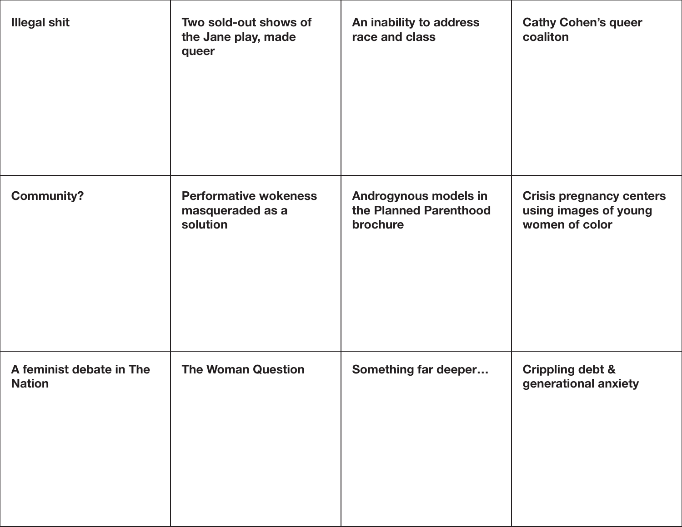| <b>Illegal shit</b>                       | Two sold-out shows of<br>the Jane play, made<br>queer        | An inability to address<br>race and class                   | <b>Cathy Cohen's queer</b><br>coaliton                                     |
|-------------------------------------------|--------------------------------------------------------------|-------------------------------------------------------------|----------------------------------------------------------------------------|
| <b>Community?</b>                         | <b>Performative wokeness</b><br>masqueraded as a<br>solution | Androgynous models in<br>the Planned Parenthood<br>brochure | <b>Crisis pregnancy centers</b><br>using images of young<br>women of color |
| A feminist debate in The<br><b>Nation</b> | <b>The Woman Question</b>                                    | Something far deeper                                        | <b>Crippling debt &amp;</b><br>generational anxiety                        |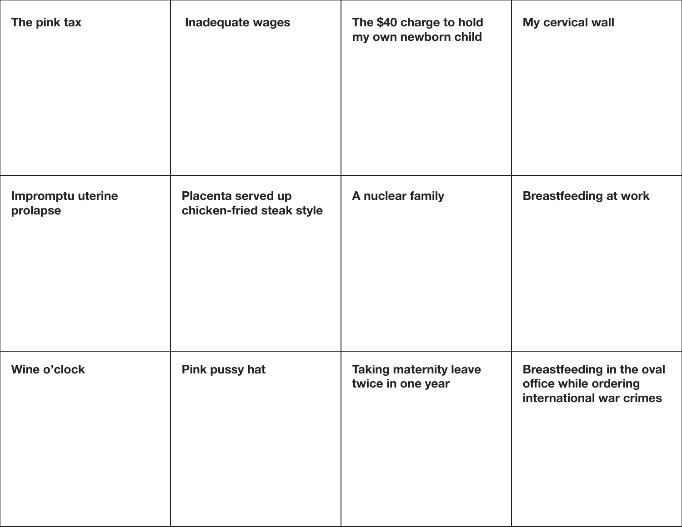| The pink tax                  | <b>Inadequate wages</b>                         | The \$40 charge to hold<br>my own newborn child    | My cervical wall                                                                      |
|-------------------------------|-------------------------------------------------|----------------------------------------------------|---------------------------------------------------------------------------------------|
| Impromptu uterine<br>prolapse | Placenta served up<br>chicken-fried steak style | A nuclear family                                   | <b>Breastfeeding at work</b>                                                          |
| Wine o'clock                  | <b>Pink pussy hat</b>                           | <b>Taking maternity leave</b><br>twice in one year | <b>Breastfeeding in the oval</b><br>office while ordering<br>international war crimes |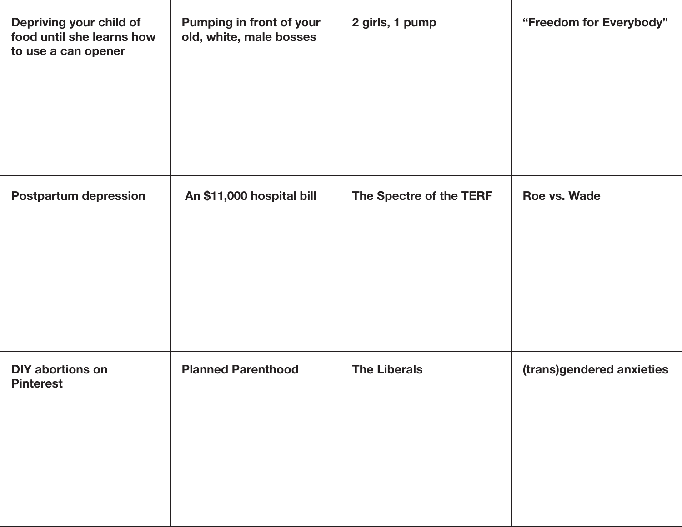| Depriving your child of<br>food until she learns how<br>to use a can opener | Pumping in front of your<br>old, white, male bosses | 2 girls, 1 pump         | "Freedom for Everybody"   |
|-----------------------------------------------------------------------------|-----------------------------------------------------|-------------------------|---------------------------|
| <b>Postpartum depression</b>                                                | An \$11,000 hospital bill                           | The Spectre of the TERF | Roe vs. Wade              |
| <b>DIY abortions on</b><br><b>Pinterest</b>                                 | <b>Planned Parenthood</b>                           | <b>The Liberals</b>     | (trans)gendered anxieties |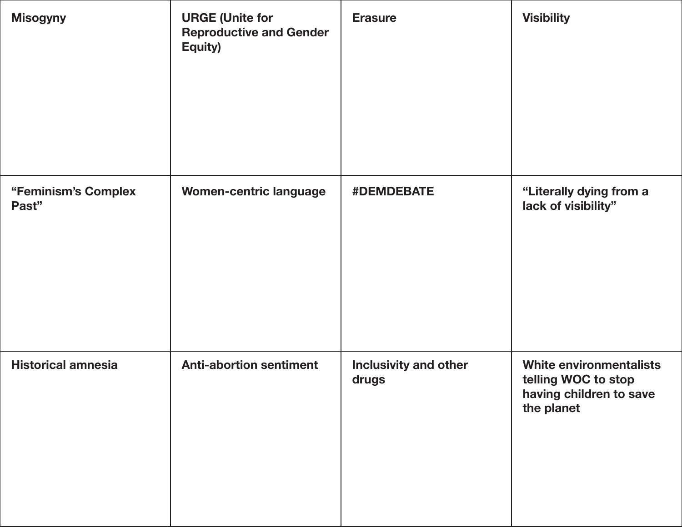| <b>Misogyny</b>              | <b>URGE (Unite for</b><br><b>Reproductive and Gender</b><br>Equity) | <b>Erasure</b>                        | <b>Visibility</b>                                                                              |
|------------------------------|---------------------------------------------------------------------|---------------------------------------|------------------------------------------------------------------------------------------------|
| "Feminism's Complex<br>Past" | <b>Women-centric language</b>                                       | <b>#DEMDEBATE</b>                     | "Literally dying from a<br>lack of visibility"                                                 |
| <b>Historical amnesia</b>    | <b>Anti-abortion sentiment</b>                                      | <b>Inclusivity and other</b><br>drugs | <b>White environmentalists</b><br>telling WOC to stop<br>having children to save<br>the planet |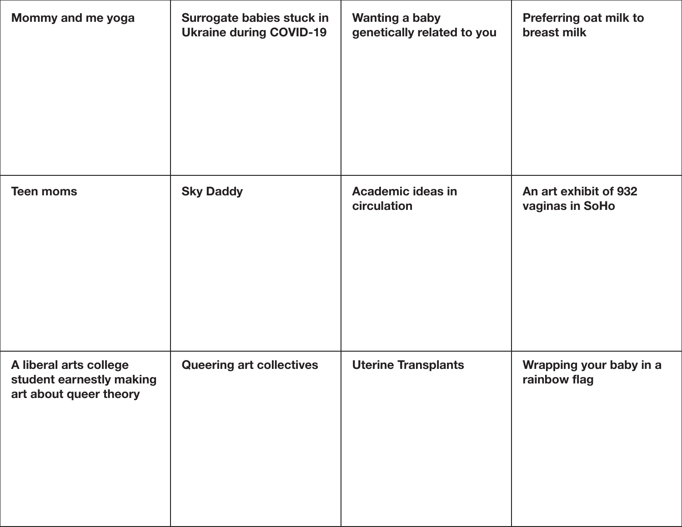| Mommy and me yoga                                                            | Surrogate babies stuck in<br><b>Ukraine during COVID-19</b> | <b>Wanting a baby</b><br>genetically related to you | Preferring oat milk to<br>breast milk    |
|------------------------------------------------------------------------------|-------------------------------------------------------------|-----------------------------------------------------|------------------------------------------|
| <b>Teen moms</b>                                                             | <b>Sky Daddy</b>                                            | <b>Academic ideas in</b><br>circulation             | An art exhibit of 932<br>vaginas in SoHo |
| A liberal arts college<br>student earnestly making<br>art about queer theory | <b>Queering art collectives</b>                             | <b>Uterine Transplants</b>                          | Wrapping your baby in a<br>rainbow flag  |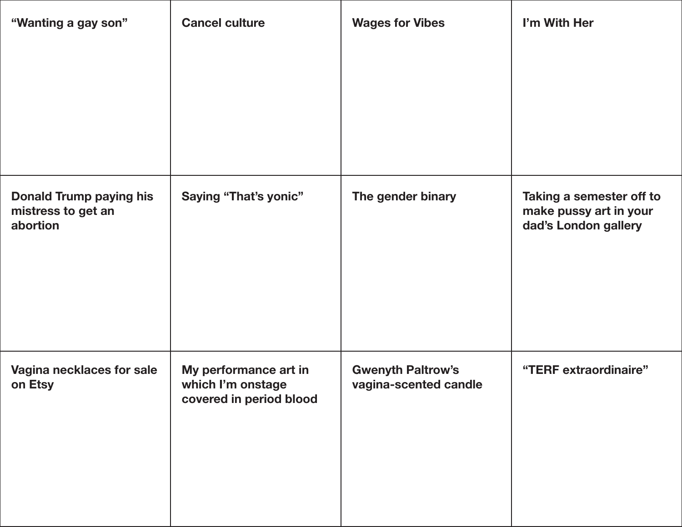| "Wanting a gay son"                                              | <b>Cancel culture</b>                                                 | <b>Wages for Vibes</b>                            | I'm With Her                                                               |
|------------------------------------------------------------------|-----------------------------------------------------------------------|---------------------------------------------------|----------------------------------------------------------------------------|
|                                                                  |                                                                       |                                                   |                                                                            |
| <b>Donald Trump paying his</b><br>mistress to get an<br>abortion | <b>Saying "That's yonic"</b>                                          | The gender binary                                 | Taking a semester off to<br>make pussy art in your<br>dad's London gallery |
| Vagina necklaces for sale<br>on Etsy                             | My performance art in<br>which I'm onstage<br>covered in period blood | <b>Gwenyth Paltrow's</b><br>vagina-scented candle | "TERF extraordinaire"                                                      |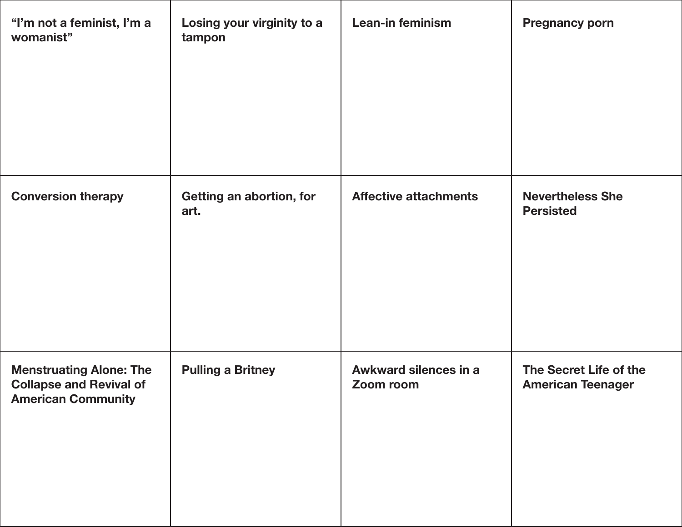| "I'm not a feminist, I'm a<br>womanist"                                                       | Losing your virginity to a<br>tampon | Lean-in feminism                   | <b>Pregnancy porn</b>                              |
|-----------------------------------------------------------------------------------------------|--------------------------------------|------------------------------------|----------------------------------------------------|
| <b>Conversion therapy</b>                                                                     | Getting an abortion, for<br>art.     | <b>Affective attachments</b>       | <b>Nevertheless She</b><br><b>Persisted</b>        |
| <b>Menstruating Alone: The</b><br><b>Collapse and Revival of</b><br><b>American Community</b> | <b>Pulling a Britney</b>             | Awkward silences in a<br>Zoom room | The Secret Life of the<br><b>American Teenager</b> |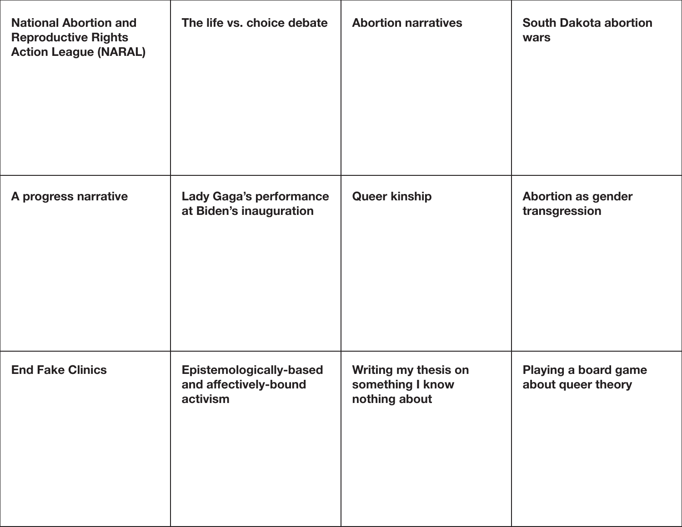| <b>National Abortion and</b><br><b>Reproductive Rights</b><br><b>Action League (NARAL)</b> | The life vs. choice debate                                          | <b>Abortion narratives</b>                                       | <b>South Dakota abortion</b><br>wars       |
|--------------------------------------------------------------------------------------------|---------------------------------------------------------------------|------------------------------------------------------------------|--------------------------------------------|
| A progress narrative                                                                       | <b>Lady Gaga's performance</b><br>at Biden's inauguration           | <b>Queer kinship</b>                                             | <b>Abortion as gender</b><br>transgression |
| <b>End Fake Clinics</b>                                                                    | <b>Epistemologically-based</b><br>and affectively-bound<br>activism | <b>Writing my thesis on</b><br>something I know<br>nothing about | Playing a board game<br>about queer theory |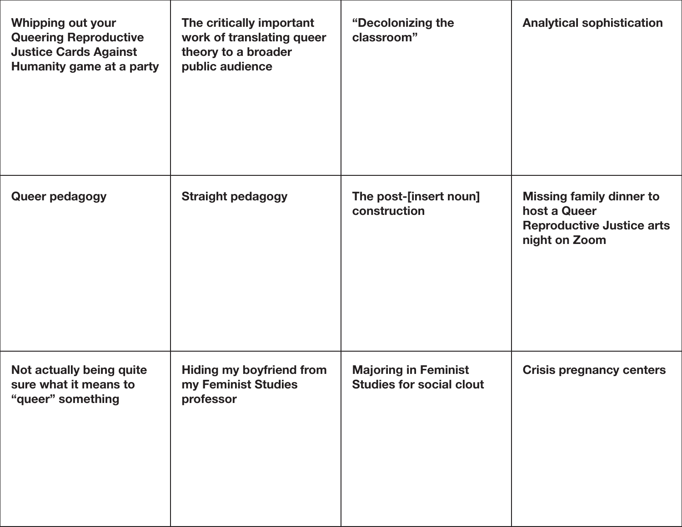| <b>Whipping out your</b><br><b>Queering Reproductive</b><br><b>Justice Cards Against</b><br>Humanity game at a party | The critically important<br>work of translating queer<br>theory to a broader<br>public audience | "Decolonizing the<br>classroom"                                | <b>Analytical sophistication</b>                                                                     |
|----------------------------------------------------------------------------------------------------------------------|-------------------------------------------------------------------------------------------------|----------------------------------------------------------------|------------------------------------------------------------------------------------------------------|
| Queer pedagogy                                                                                                       | <b>Straight pedagogy</b>                                                                        | The post-[insert noun]<br>construction                         | <b>Missing family dinner to</b><br>host a Queer<br><b>Reproductive Justice arts</b><br>night on Zoom |
| Not actually being quite<br>sure what it means to<br>"queer" something                                               | <b>Hiding my boyfriend from</b><br>my Feminist Studies<br>professor                             | <b>Majoring in Feminist</b><br><b>Studies for social clout</b> | <b>Crisis pregnancy centers</b>                                                                      |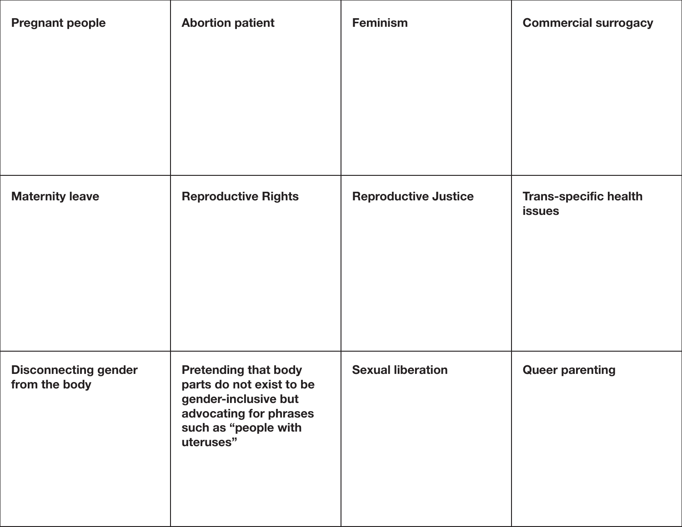| <b>Pregnant people</b>                       | <b>Abortion patient</b>                                                                                                                        | <b>Feminism</b>             | <b>Commercial surrogacy</b>                   |
|----------------------------------------------|------------------------------------------------------------------------------------------------------------------------------------------------|-----------------------------|-----------------------------------------------|
|                                              |                                                                                                                                                |                             |                                               |
| <b>Maternity leave</b>                       | <b>Reproductive Rights</b>                                                                                                                     | <b>Reproductive Justice</b> | <b>Trans-specific health</b><br><b>issues</b> |
| <b>Disconnecting gender</b><br>from the body | <b>Pretending that body</b><br>parts do not exist to be<br>gender-inclusive but<br>advocating for phrases<br>such as "people with<br>uteruses" | <b>Sexual liberation</b>    | <b>Queer parenting</b>                        |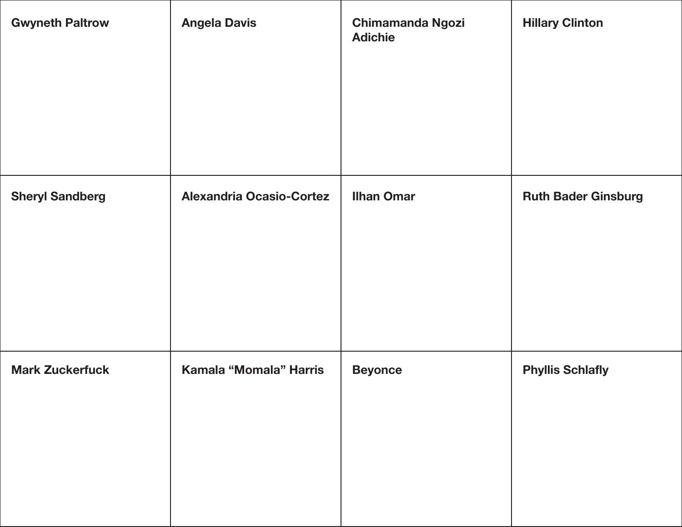| <b>Gwyneth Paltrow</b> | <b>Angela Davis</b>             | <b>Chimamanda Ngozi</b><br><b>Adichie</b> | <b>Hillary Clinton</b>     |
|------------------------|---------------------------------|-------------------------------------------|----------------------------|
| <b>Sheryl Sandberg</b> | <b>Alexandria Ocasio-Cortez</b> | <b>Ilhan Omar</b>                         | <b>Ruth Bader Ginsburg</b> |
| <b>Mark Zuckerfuck</b> | Kamala "Momala" Harris          | <b>Beyonce</b>                            | <b>Phyllis Schlafly</b>    |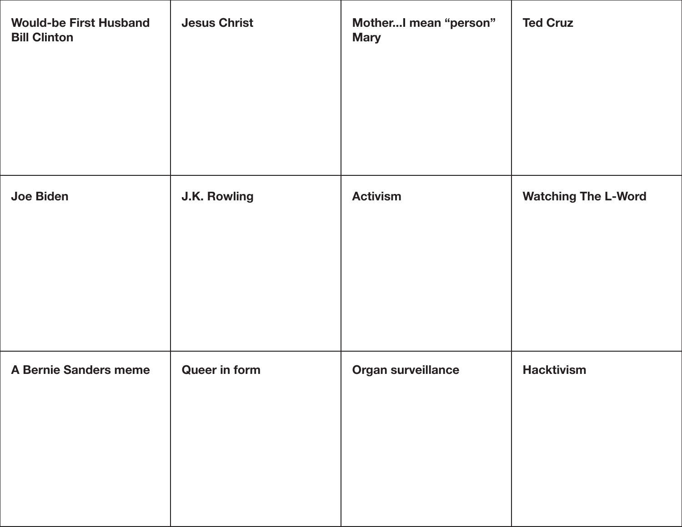| <b>Would-be First Husband</b><br><b>Bill Clinton</b> | <b>Jesus Christ</b>  | MotherI mean "person"<br><b>Mary</b> | <b>Ted Cruz</b>            |
|------------------------------------------------------|----------------------|--------------------------------------|----------------------------|
| <b>Joe Biden</b>                                     | <b>J.K. Rowling</b>  | <b>Activism</b>                      | <b>Watching The L-Word</b> |
| <b>A Bernie Sanders meme</b>                         | <b>Queer in form</b> | Organ surveillance                   | <b>Hacktivism</b>          |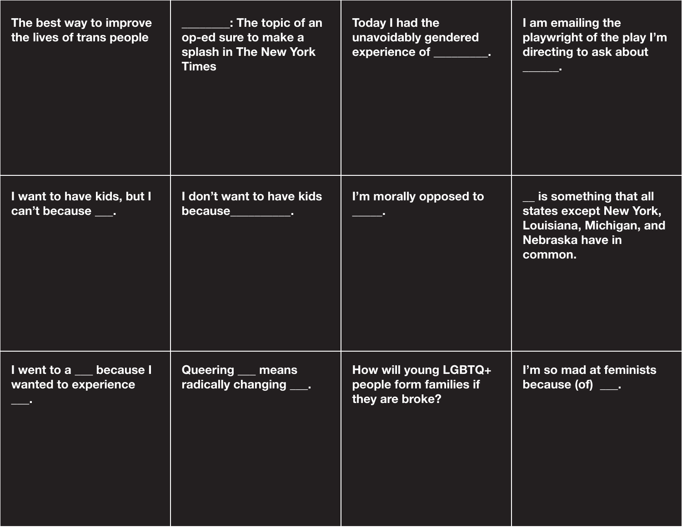| The best way to improve<br>the lives of trans people    | $\_$ : The topic of an $\_$<br>op-ed sure to make a<br>splash in The New York<br><b>Times</b> | <b>Today I had the</b><br>unavoidably gendered<br>experience of _________. | I am emailing the<br>playwright of the play I'm<br>directing to ask about                                   |
|---------------------------------------------------------|-----------------------------------------------------------------------------------------------|----------------------------------------------------------------------------|-------------------------------------------------------------------------------------------------------------|
| I want to have kids, but I<br>can't because ____.       | I don't want to have kids<br>because___________.                                              | I'm morally opposed to                                                     | is something that all<br>states except New York,<br>Louisiana, Michigan, and<br>Nebraska have in<br>common. |
| I went to a<br><b>because I</b><br>wanted to experience | <b>Queering</b><br>means<br>radically changing                                                | How will young LGBTQ+<br>people form families if<br>they are broke?        | I'm so mad at feminists<br>because $($ of $)$ $\_\_$ .                                                      |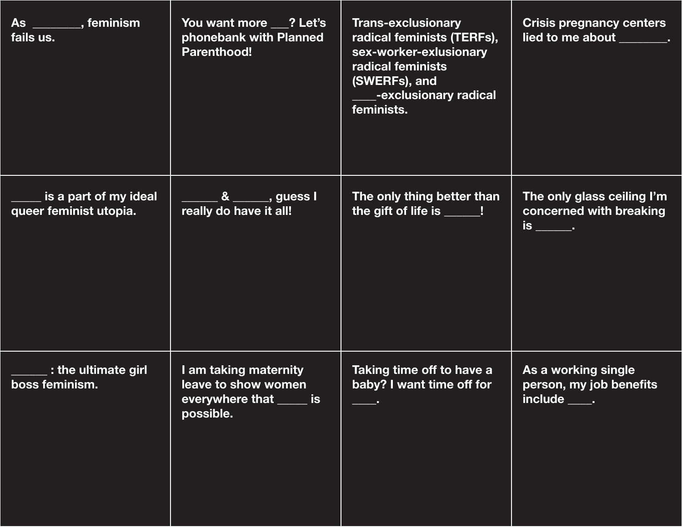| As ________, feminism<br>fails us.                        | You want more ___? Let's<br>phonebank with Planned<br><b>Parenthood!</b>              | <b>Trans-exclusionary</b><br>radical feminists (TERFs),<br>sex-worker-exlusionary<br>radical feminists<br>(SWERFs), and<br>-exclusionary radical<br>feminists. | <b>Crisis pregnancy centers</b><br>lied to me about _______.                |
|-----------------------------------------------------------|---------------------------------------------------------------------------------------|----------------------------------------------------------------------------------------------------------------------------------------------------------------|-----------------------------------------------------------------------------|
| $\_$ is a part of my ideal $\,$<br>queer feminist utopia. | $8 \overline{\hspace{1cm}}$ , guess I<br>really do have it all!                       | The only thing better than<br>the gift of life is _____!                                                                                                       | The only glass ceiling I'm<br>concerned with breaking<br><u>is ______</u> . |
| $\cdot$ : the ultimate girl<br>boss feminism.             | I am taking maternity<br>leave to show women<br>everywhere that _____ is<br>possible. | Taking time off to have a<br>baby? I want time off for                                                                                                         | As a working single<br>person, my job benefits<br>include _____.            |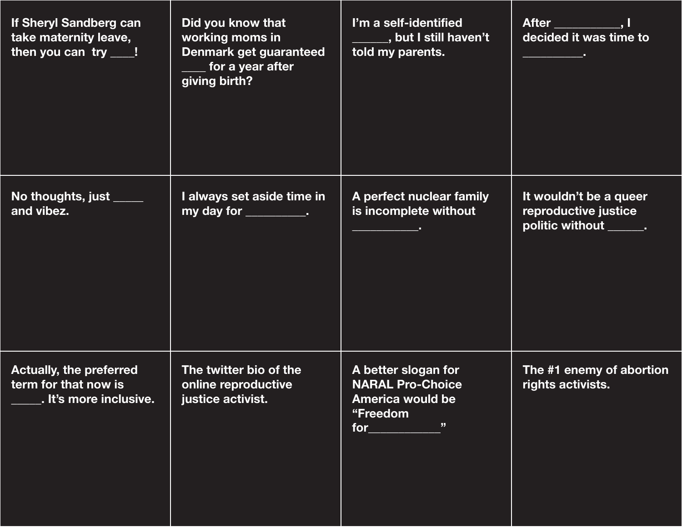| If Sheryl Sandberg can<br>take maternity leave,<br>then you can $try$ ___!       | Did you know that<br>working moms in<br>Denmark get guaranteed<br>for a year after<br>giving birth? | I'm a self-identified<br>_____, but I still haven't<br>told my parents.                                    | After _____________, I<br>decided it was time to                         |
|----------------------------------------------------------------------------------|-----------------------------------------------------------------------------------------------------|------------------------------------------------------------------------------------------------------------|--------------------------------------------------------------------------|
| No thoughts, just _____<br>and vibez.                                            | I always set aside time in<br>my day for $\_\_\_\_\_\_\_\_\$ .                                      | A perfect nuclear family<br>is incomplete without<br><u> 1989 - John Harry Barnett, fransk politiker (</u> | It wouldn't be a queer<br>reproductive justice<br>politic without _____. |
| <b>Actually, the preferred</b><br>term for that now is<br>. It's more inclusive. | The twitter bio of the<br>online reproductive<br>justice activist.                                  | A better slogan for<br><b>NARAL Pro-Choice</b><br><b>America would be</b><br>"Freedom<br>"<br>for $_{-}$   | The #1 enemy of abortion<br>rights activists.                            |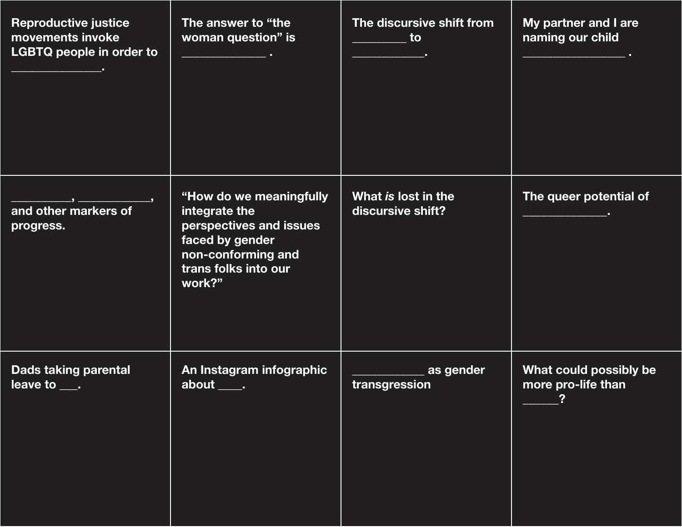| <b>Reproductive justice</b><br>movements invoke<br><b>LGBTQ people in order to</b><br><u> 1989 - Johann Barn, amerikansk politik</u> | The answer to "the<br>woman question" is<br><u> 1989 - Johann Barn, fransk politik (</u>                                                       | The discursive shift from<br>__________ to<br><u> 1989 - Johann Barn, mars e</u> | My partner and I are<br>naming our child     |
|--------------------------------------------------------------------------------------------------------------------------------------|------------------------------------------------------------------------------------------------------------------------------------------------|----------------------------------------------------------------------------------|----------------------------------------------|
| and other markers of<br>progress.                                                                                                    | "How do we meaningfully<br>integrate the<br>perspectives and issues<br>faced by gender<br>non-conforming and<br>trans folks into our<br>work?" | What is lost in the<br>discursive shift?                                         | The queer potential of                       |
| <b>Dads taking parental</b><br>leave to<br>$\sim 100$                                                                                | An Instagram infographic<br>about<br><b>Contract</b>                                                                                           | as gender<br>transgression                                                       | What could possibly be<br>more pro-life than |